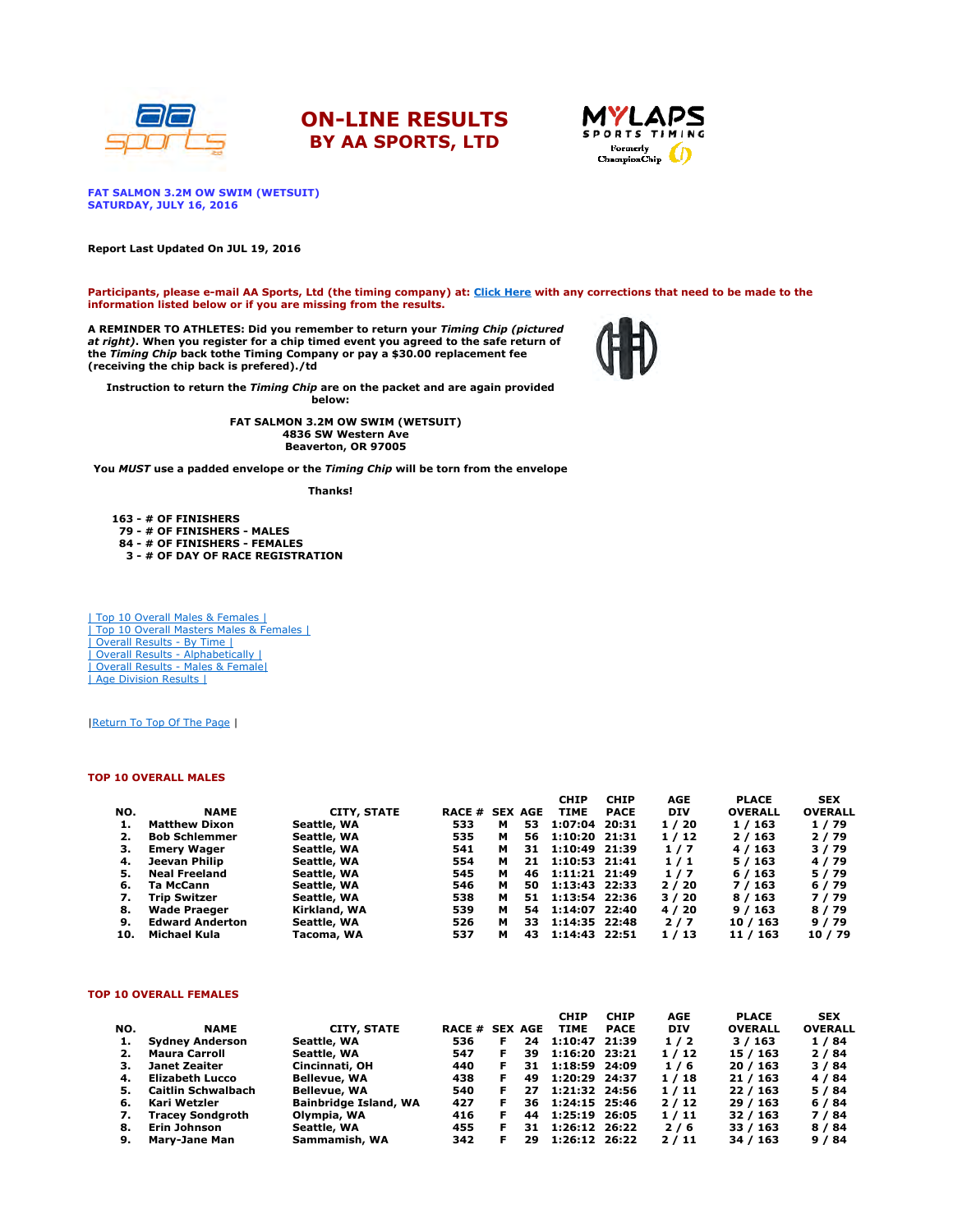





FAT SALMON 3.2M OW SWIM (WETSUIT) SATURDAY, JULY 16, 2016

Report Last Updated On JUL 19, 2016

Participants, please e-mail AA Sports, Ltd (the timing company) at: Click Here with any corrections that need to be made to the information listed below or if you are missing from the results.

A REMINDER TO ATHLETES: Did you remember to return your *Timing Chip (pictured*<br>*at right)*. When you register for a chip timed event you agreed to the safe return of the Timing Chip back tothe Timing Company or pay a \$30.00 replacement fee (receiving the chip back is prefered)./td



Instruction to return the Timing Chip are on the packet and are again provided

below:

FAT SALMON 3.2M OW SWIM (WETSUIT) 4836 SW Western Ave Beaverton, OR 97005

You MUST use a padded envelope or the Timing Chip will be torn from the envelope

Thanks!

163 - # OF FINISHERS 79 - # OF FINISHERS - MALES 84 - # OF FINISHERS - FEMALES 3 - # OF DAY OF RACE REGISTRATION

| Top 10 Overall Males & Females | | Top 10 Overall Masters Males & Females | | Overall Results - By Time | | Overall Results - Alphabetically | | Overall Results - Males & Female| | Age Division Results |

|Return To Top Of The Page |

### TOP 10 OVERALL MALES

|     |                        |              |                       |   |     | <b>CHIP</b>     | <b>CHIP</b> | AGE        | <b>PLACE</b>   | <b>SEX</b>     |
|-----|------------------------|--------------|-----------------------|---|-----|-----------------|-------------|------------|----------------|----------------|
| NO. | <b>NAME</b>            | CITY, STATE  | <b>RACE # SEX AGE</b> |   |     | <b>TIME</b>     | <b>PACE</b> | <b>DIV</b> | <b>OVERALL</b> | <b>OVERALL</b> |
|     | <b>Matthew Dixon</b>   | Seattle, WA  | 533                   | м | 53  | 1:07:04 20:31   |             | 1/20       | 1 / 163        | 1/79           |
|     | <b>Bob Schlemmer</b>   | Seattle, WA  | 535                   | м | 56  | $1:10:20$ 21:31 |             | 1/12       | 2/163          | 2/79           |
| з.  | <b>Emery Wager</b>     | Seattle, WA  | 541                   | м | 31  | 1:10:49 21:39   |             | 1/7        | 4 / 163        | 3/79           |
| 4.  | Jeevan Philip          | Seattle, WA  | 554                   | м | 21  | 1:10:53 21:41   |             | 1/1        | 5/163          | 4/79           |
| 5.  | <b>Neal Freeland</b>   | Seattle, WA  | 545                   | м | 46  | 1:11:21 21:49   |             | 1/7        | 6/163          | 5/79           |
| 6.  | Ta McCann              | Seattle, WA  | 546                   | м | 50  | 1:13:43 22:33   |             | 2/20       | 7 / 163        | 6/79           |
| 7.  | <b>Trip Switzer</b>    | Seattle, WA  | 538                   | м | 51. | 1:13:54 22:36   |             | 3/20       | 8/163          | 7/79           |
| 8.  | <b>Wade Praeger</b>    | Kirkland, WA | 539                   | м | 54  | 1:14:07 22:40   |             | 4 / 20     | 9/163          | 8/79           |
| 9.  | <b>Edward Anderton</b> | Seattle, WA  | 526                   | м | 33  | 1:14:35 22:48   |             | 2/7        | 10 / 163       | 9/79           |
| 10. | Michael Kula           | Tacoma, WA   | 537                   | м | 43  | 1:14:43 22:51   |             | 1/13       | 11 / 163       | 10 / 79        |

#### TOP 10 OVERALL FEMALES

|     |                           |                              |                       |    |     | <b>CHIP</b>   | <b>CHIP</b> | <b>AGE</b> | <b>PLACE</b>   | <b>SEX</b>     |
|-----|---------------------------|------------------------------|-----------------------|----|-----|---------------|-------------|------------|----------------|----------------|
| NO. | <b>NAME</b>               | <b>CITY, STATE</b>           | <b>RACE # SEX AGE</b> |    |     | <b>TIME</b>   | <b>PACE</b> | <b>DIV</b> | <b>OVERALL</b> | <b>OVERALL</b> |
|     | <b>Sydney Anderson</b>    | Seattle, WA                  | 536                   | F  | 24  | 1:10:47 21:39 |             | 1/2        | 3/163          | 1/84           |
| 2.  | <b>Maura Carroll</b>      | Seattle, WA                  | 547                   | F  | 39  | 1:16:20 23:21 |             | 1/12       | 15/163         | 2/84           |
| з.  | Janet Zeaiter             | Cincinnati, OH               | 440                   | F  | 31. | 1:18:59 24:09 |             | 1/6        | 20/163         | 3/84           |
| 4.  | Elizabeth Lucco           | Bellevue, WA                 | 438                   | F. | 49  | 1:20:29 24:37 |             | 1/18       | 21/163         | 4/84           |
| 5.  | <b>Caitlin Schwalbach</b> | <b>Bellevue, WA</b>          | 540                   | F. | 27  | 1:21:32 24:56 |             | 1/11       | 22/163         | 5/84           |
| 6.  | Kari Wetzler              | <b>Bainbridge Island, WA</b> | 427                   |    | 36. | 1:24:15 25:46 |             | 2/12       | 29/163         | 6/84           |
| 7.  | <b>Tracey Sondgroth</b>   | Olympia, WA                  | 416                   | F  | 44  | 1:25:19 26:05 |             | 1/11       | 32/163         | 7/84           |
| 8.  | Erin Johnson              | Seattle, WA                  | 455                   |    | 31. | 1:26:12 26:22 |             | 2/6        | 33 / 163       | 8 / 84         |
| 9.  | <b>Marv-Jane Man</b>      | Sammamish, WA                | 342                   | F  | 29  | 1:26:12 26:22 |             | 2/11       | 34 / 163       | 9/84           |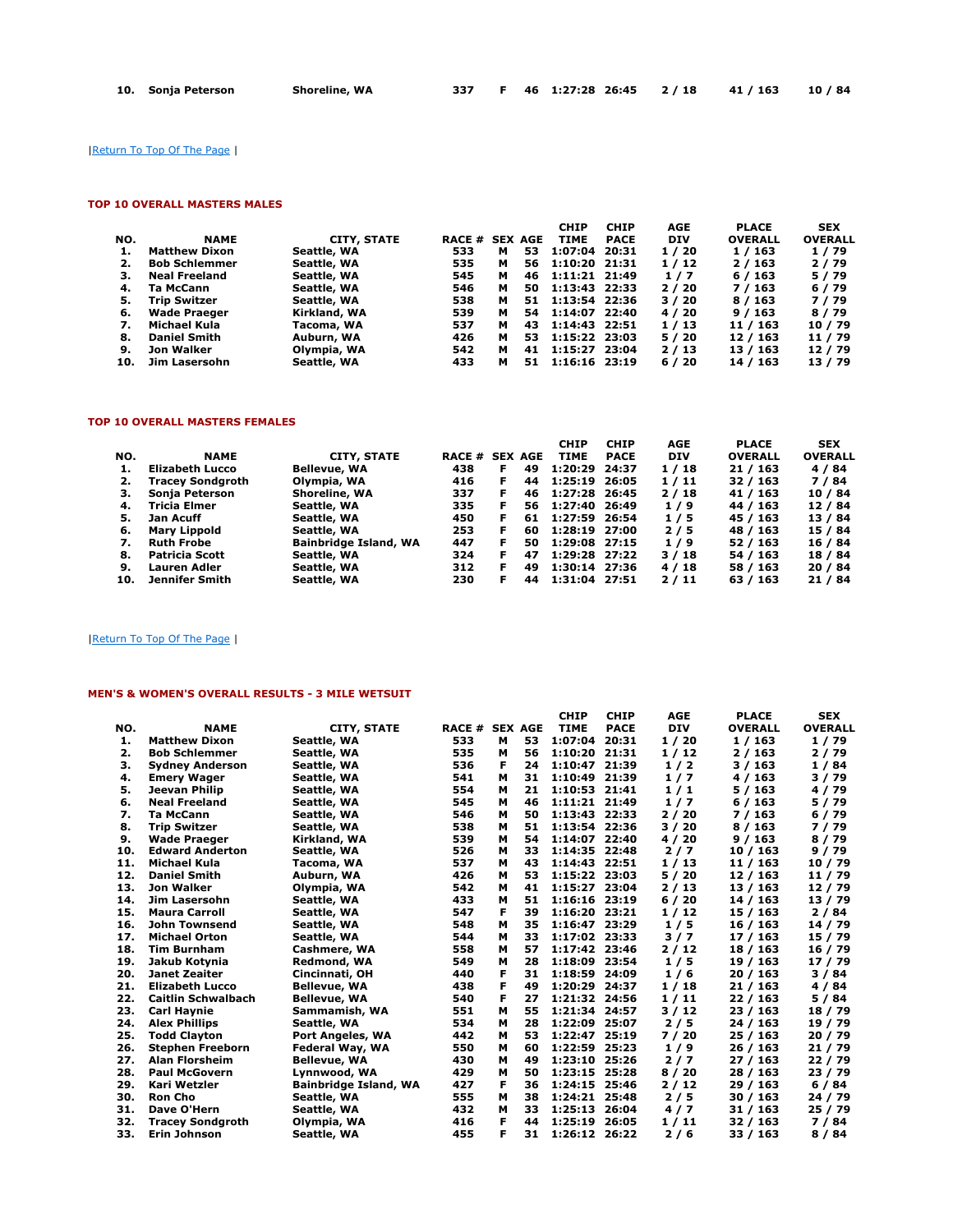|  | 10. Sonja Peterson | Shoreline, WA |  |  |  | F 46 1:27:28 26:45 2/18 41/163 10/84 |  |  |  |
|--|--------------------|---------------|--|--|--|--------------------------------------|--|--|--|
|--|--------------------|---------------|--|--|--|--------------------------------------|--|--|--|

|Return To Top Of The Page |

## TOP 10 OVERALL MASTERS MALES

|     |                      |                    |                       |   |     | <b>CHIP</b>     | <b>CHIP</b> | <b>AGE</b> | <b>PLACE</b>   | <b>SEX</b>     |
|-----|----------------------|--------------------|-----------------------|---|-----|-----------------|-------------|------------|----------------|----------------|
| NO. | <b>NAME</b>          | <b>CITY, STATE</b> | <b>RACE # SEX AGE</b> |   |     | <b>TIME</b>     | <b>PACE</b> | <b>DIV</b> | <b>OVERALL</b> | <b>OVERALL</b> |
| 1.  | <b>Matthew Dixon</b> | Seattle, WA        | 533                   | м | 53  | 1:07:04         | 20:31       | 1/20       | 1 / 163        | 1/79           |
| 2.  | <b>Bob Schlemmer</b> | Seattle, WA        | 535                   | м | 56  | 1:10:20 21:31   |             | 1/12       | 2/163          | 2/79           |
| з.  | <b>Neal Freeland</b> | Seattle, WA        | 545                   | м | 46  | 1:11:21 21:49   |             | 1/7        | 6/163          | 5/79           |
| 4.  | Ta McCann            | Seattle, WA        | 546                   | м | 50  | 1:13:43 22:33   |             | 2/20       | 7 / 163        | 6/79           |
| 5.  | Trip Switzer         | Seattle, WA        | 538                   | м | 51  | 1:13:54 22:36   |             | 3/20       | 8/163          | 7/79           |
| 6.  | <b>Wade Praeger</b>  | Kirkland, WA       | 539                   | м | 54  | 1:14:07 22:40   |             | 4 / 20     | 9/163          | 8/79           |
| 7.  | Michael Kula         | Tacoma, WA         | 537                   | м | 43  | 1:14:43 22:51   |             | 1/13       | 11 / 163       | 10/79          |
| 8.  | <b>Daniel Smith</b>  | Auburn, WA         | 426                   | м | 53. | 1:15:22 23:03   |             | 5/20       | 12 / 163       | 11 / 79        |
| 9.  | Jon Walker           | Olympia, WA        | 542                   | м | 41  | 1:15:27 23:04   |             | 2/13       | 13 / 163       | 12/79          |
| 10. | Jim Lasersohn        | Seattle, WA        | 433                   | м | 51  | $1:16:16$ 23:19 |             | 6/20       | 14 / 163       | 13/79          |

# TOP 10 OVERALL MASTERS FEMALES

|     |                         |                              |                       |    |     | <b>CHIP</b>   | <b>CHIP</b> | AGE        | <b>PLACE</b>   | <b>SEX</b>     |
|-----|-------------------------|------------------------------|-----------------------|----|-----|---------------|-------------|------------|----------------|----------------|
| NO. | <b>NAME</b>             | <b>CITY, STATE</b>           | <b>RACE # SEX AGE</b> |    |     | <b>TIME</b>   | <b>PACE</b> | <b>DIV</b> | <b>OVERALL</b> | <b>OVERALL</b> |
|     | Elizabeth Lucco         | <b>Bellevue, WA</b>          | 438                   | F. | 49  | 1:20:29 24:37 |             | 1/18       | 21/163         | 4/84           |
| 2.  | <b>Tracey Sondgroth</b> | Olympia, WA                  | 416                   | F. | 44  | 1:25:19 26:05 |             | 1/11       | 32 / 163       | 7/84           |
| з.  | Sonja Peterson          | Shoreline, WA                | 337                   | F. | 46  | 1:27:28 26:45 |             | 2/18       | 41 / 163       | 10 / 84        |
| 4.  | Tricia Elmer            | Seattle, WA                  | 335                   | F  | 56. | 1:27:40 26:49 |             | 1/9        | 44 / 163       | 12/84          |
| 5.  | Jan Acuff               | Seattle, WA                  | 450                   | F. | 61  | 1:27:59 26:54 |             | 1/5        | 45 / 163       | 13/84          |
| 6.  | Mary Lippold            | Seattle, WA                  | 253                   | F. | 60  | 1:28:19 27:00 |             | 2/5        | 48 / 163       | 15 / 84        |
| 7.  | <b>Ruth Frobe</b>       | <b>Bainbridge Island, WA</b> | 447                   | F  | 50. | 1:29:08 27:15 |             | 1/9        | 52 / 163       | 16 / 84        |
| 8.  | Patricia Scott          | Seattle, WA                  | 324                   | F. | 47  | 1:29:28 27:22 |             | 3/18       | 54 / 163       | 18 / 84        |
| 9.  | <b>Lauren Adler</b>     | Seattle, WA                  | 312                   | F  | 49  | 1:30:14 27:36 |             | 4 / 18     | 58 / 163       | 20/84          |
| 10. | Jennifer Smith          | Seattle, WA                  | 230                   | F  | 44  | 1:31:04 27:51 |             | 2/11       | 63 / 163       | 21/84          |

## |Return To Top Of The Page |

## MEN'S & WOMEN'S OVERALL RESULTS - 3 MILE WETSUIT

|     |                           |                              |                       |   |    | <b>CHIP</b>   | <b>CHIP</b> | <b>AGE</b> | <b>PLACE</b>   | <b>SEX</b>     |
|-----|---------------------------|------------------------------|-----------------------|---|----|---------------|-------------|------------|----------------|----------------|
| NO. | <b>NAME</b>               | <b>CITY, STATE</b>           | <b>RACE # SEX AGE</b> |   |    | <b>TIME</b>   | <b>PACE</b> | <b>DIV</b> | <b>OVERALL</b> | <b>OVERALL</b> |
| 1.  | <b>Matthew Dixon</b>      | Seattle, WA                  | 533                   | м | 53 | 1:07:04       | 20:31       | 1/20       | 1/163          | 1/79           |
| 2.  | <b>Bob Schlemmer</b>      | Seattle, WA                  | 535                   | м | 56 | 1:10:20 21:31 |             | 1/12       | 2/163          | 2/79           |
| з.  | <b>Sydney Anderson</b>    | Seattle, WA                  | 536                   | F | 24 | 1:10:47       | 21:39       | 1/2        | 3/163          | 1/84           |
| 4.  | <b>Emery Wager</b>        | Seattle, WA                  | 541                   | м | 31 | 1:10:49       | 21:39       | 1/7        | 4/163          | 3/79           |
| 5.  | Jeevan Philip             | Seattle, WA                  | 554                   | м | 21 | 1:10:53       | 21:41       | 1/1        | 5/163          | 4/79           |
| 6.  | <b>Neal Freeland</b>      | Seattle, WA                  | 545                   | м | 46 | 1:11:21 21:49 |             | 1/7        | 6/163          | 5/79           |
| 7.  | <b>Ta McCann</b>          | Seattle, WA                  | 546                   | м | 50 | 1:13:43 22:33 |             | 2/20       | 7/163          | 6/79           |
| 8.  | <b>Trip Switzer</b>       | Seattle, WA                  | 538                   | м | 51 | 1:13:54 22:36 |             | 3/20       | 8/163          | 7/79           |
| 9.  | <b>Wade Praeger</b>       | Kirkland, WA                 | 539                   | м | 54 | 1:14:07 22:40 |             | 4 / 20     | 9/163          | 8/79           |
| 10. | <b>Edward Anderton</b>    | Seattle, WA                  | 526                   | м | 33 | 1:14:35 22:48 |             | 2/7        | 10/163         | 9/79           |
| 11. | <b>Michael Kula</b>       | Tacoma, WA                   | 537                   | м | 43 | 1:14:43 22:51 |             | 1/13       | 11 / 163       | 10 / 79        |
| 12. | <b>Daniel Smith</b>       | Auburn, WA                   | 426                   | м | 53 | 1:15:22 23:03 |             | 5/20       | 12 / 163       | 11 / 79        |
| 13. | Jon Walker                | Olympia, WA                  | 542                   | м | 41 | 1:15:27       | 23:04       | 2/13       | 13 / 163       | 12/79          |
| 14. | <b>Jim Lasersohn</b>      | Seattle, WA                  | 433                   | м | 51 | 1:16:16       | 23:19       | 6/20       | 14 / 163       | 13 / 79        |
| 15. | <b>Maura Carroll</b>      | Seattle, WA                  | 547                   | F | 39 | 1:16:20       | 23:21       | 1/12       | 15 / 163       | 2/84           |
| 16. | <b>John Townsend</b>      | Seattle, WA                  | 548                   | м | 35 | 1:16:47       | 23:29       | 1/5        | 16 / 163       | 14 / 79        |
| 17. | <b>Michael Orton</b>      | Seattle, WA                  | 544                   | м | 33 | 1:17:02 23:33 |             | 3/7        | 17/163         | 15 / 79        |
| 18. | <b>Tim Burnham</b>        | Cashmere, WA                 | 558                   | м | 57 | 1:17:42 23:46 |             | 2/12       | 18 / 163       | 16 / 79        |
| 19. | Jakub Kotvnia             | Redmond, WA                  | 549                   | м | 28 | 1:18:09 23:54 |             | 1/5        | 19 / 163       | 17/79          |
| 20. | <b>Janet Zeaiter</b>      | Cincinnati, OH               | 440                   | F | 31 | 1:18:59 24:09 |             | 1/6        | 20 / 163       | 3/84           |
| 21. | <b>Elizabeth Lucco</b>    | <b>Bellevue, WA</b>          | 438                   | F | 49 | 1:20:29       | 24:37       | 1/18       | 21 / 163       | 4/84           |
| 22. | <b>Caitlin Schwalbach</b> | <b>Bellevue, WA</b>          | 540                   | F | 27 | 1:21:32 24:56 |             | 1/11       | 22 / 163       | 5 / 84         |
| 23. | <b>Carl Haynie</b>        | Sammamish, WA                | 551                   | м | 55 | 1:21:34 24:57 |             | 3/12       | 23 / 163       | 18 / 79        |
| 24. | <b>Alex Phillips</b>      | Seattle, WA                  | 534                   | м | 28 | 1:22:09       | 25:07       | 2/5        | 24/163         | 19 / 79        |
| 25. | <b>Todd Clayton</b>       | Port Angeles, WA             | 442                   | м | 53 | 1:22:47       | 25:19       | 7 / 20     | 25 / 163       | 20 / 79        |
| 26. | <b>Stephen Freeborn</b>   | Federal Way, WA              | 550                   | м | 60 | 1:22:59       | 25:23       | 1/9        | 26 / 163       | 21/79          |
| 27. | <b>Alan Florsheim</b>     | <b>Bellevue, WA</b>          | 430                   | м | 49 | 1:23:10       | 25:26       | 2/7        | 27 / 163       | 22/79          |
| 28. | <b>Paul McGovern</b>      | Lynnwood, WA                 | 429                   | м | 50 | 1:23:15 25:28 |             | 8/20       | 28 / 163       | 23 / 79        |
| 29. | Kari Wetzler              | <b>Bainbridge Island, WA</b> | 427                   | F | 36 | 1:24:15 25:46 |             | 2/12       | 29 / 163       | 6/84           |
| 30. | <b>Ron Cho</b>            | Seattle, WA                  | 555                   | м | 38 | 1:24:21 25:48 |             | 2/5        | 30 / 163       | 24 / 79        |
| 31. | Dave O'Hern               | Seattle, WA                  | 432                   | м | 33 | 1:25:13       | 26:04       | 4/7        | 31 / 163       | 25 / 79        |
| 32. | <b>Tracey Sondgroth</b>   | Olympia, WA                  | 416                   | F | 44 | 1:25:19       | 26:05       | 1/11       | 32 / 163       | 7/84           |
| 33. | <b>Erin Johnson</b>       | Seattle, WA                  | 455                   | F | 31 | 1:26:12 26:22 |             | 2/6        | 33 / 163       | 8/84           |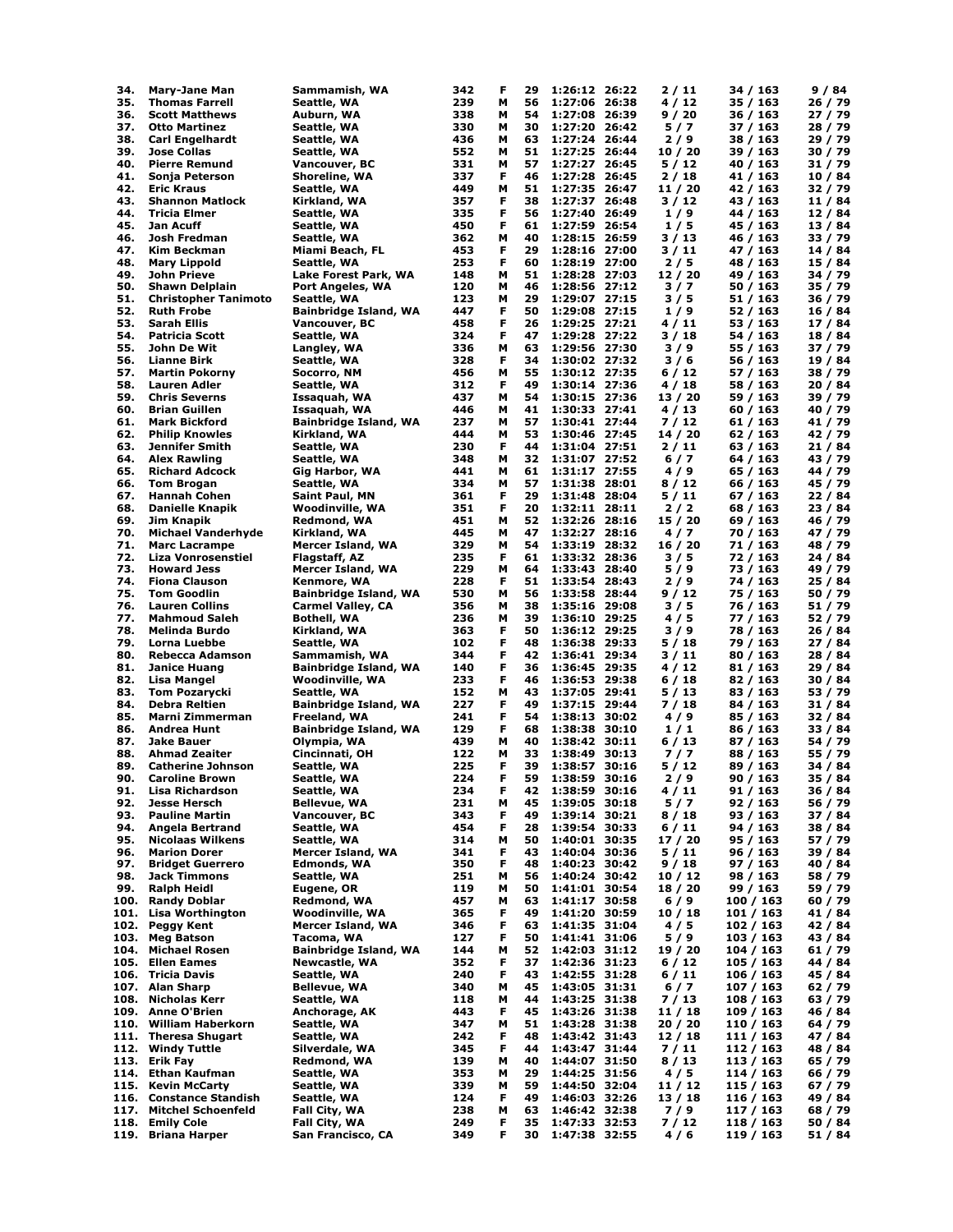| 34.          | <b>Mary-Jane Man</b>                              | Sammamish, WA                          | 342        | F      | 29       | 1:26:12 26:22                  | 2 / 11           | 34 / 163             | 9/84               |
|--------------|---------------------------------------------------|----------------------------------------|------------|--------|----------|--------------------------------|------------------|----------------------|--------------------|
| 35.          | <b>Thomas Farrell</b>                             | Seattle, WA                            | 239        | м      | 56       | 1:27:06 26:38                  | 4/12             | 35 / 163             | 26 / 79            |
| 36.          | <b>Scott Matthews</b>                             | Auburn, WA                             | 338        | М      | 54       | 1:27:08 26:39                  | 9 / 20           | 36 / 163             | 27 / 79            |
| 37.          | <b>Otto Martinez</b>                              | Seattle, WA                            | 330        | м      | 30       | 1:27:20 26:42                  | 5/7              | 37 / 163             | 28 / 79            |
| 38.          | <b>Carl Engelhardt</b>                            | Seattle, WA                            | 436        | м      | 63       | 1:27:24 26:44                  | 2/9              | 38 / 163             | 29 / 79            |
| 39.<br>40.   | <b>Jose Collas</b><br><b>Pierre Remund</b>        | Seattle, WA<br>Vancouver, BC           | 552<br>331 | м<br>м | 51<br>57 | 1:27:25 26:44<br>1:27:27 26:45 | 10/20<br>5/12    | 39 / 163<br>40 / 163 | 30 / 79<br>31 / 79 |
| 41.          | Sonja Peterson                                    | Shoreline, WA                          | 337        | F      | 46       | 1:27:28 26:45                  | 2/18             | 41 / 163             | 10/84              |
| 42.          | <b>Eric Kraus</b>                                 | Seattle, WA                            | 449        | М      | 51       | 1:27:35 26:47                  | 11 / 20          | 42 / 163             | 32 / 79            |
| 43.          | <b>Shannon Matlock</b>                            | Kirkland, WA                           | 357        | F      | 38       | 1:27:37 26:48                  | 3/12             | 43 / 163             | 11/84              |
| 44.          | Tricia Elmer                                      | Seattle, WA                            | 335        | F      | 56       | 1:27:40 26:49                  | 1/9              | 44 / 163             | 12 / 84            |
| 45.          | Jan Acuff                                         | Seattle, WA                            | 450        | F      | 61       | 1:27:59 26:54                  | 1/5              | 45 / 163             | 13/84              |
| 46.          | Josh Fredman                                      | Seattle, WA                            | 362        | м      | 40       | 1:28:15 26:59                  | 3 / 13           | 46 / 163             | 33 / 79            |
| 47.          | Kim Beckman                                       | Miami Beach, FL                        | 453        | F      | 29       | 1:28:16 27:00                  | 3/11             | 47 / 163             | 14 / 84            |
| 48.          | <b>Mary Lippold</b>                               | Seattle, WA                            | 253        | F      | 60       | 1:28:19 27:00                  | 2/5              | 48 / 163             | 15 / 84            |
| 49.          | John Prieve                                       | Lake Forest Park, WA                   | 148        | м      | 51<br>46 | 1:28:28 27:03                  | 12 / 20          | 49 / 163             | 34 / 79<br>35 / 79 |
| 50.<br>51.   | Shawn Delplain<br><b>Christopher Tanimoto</b>     | Port Angeles, WA<br>Seattle, WA        | 120<br>123 | м<br>м | 29       | 1:28:56 27:12<br>1:29:07 27:15 | 3/7<br>3/5       | 50 / 163<br>51 / 163 | 36 / 79            |
| 52.          | <b>Ruth Frobe</b>                                 | Bainbridge Island, WA                  | 447        | F      | 50       | 1:29:08 27:15                  | 1/9              | 52 / 163             | 16 / 84            |
| 53.          | Sarah Ellis                                       | Vancouver, BC                          | 458        | F      | 26       | 1:29:25 27:21                  | 4 / 11           | 53 / 163             | 17 / 84            |
| 54.          | <b>Patricia Scott</b>                             | Seattle, WA                            | 324        | F      | 47       | 1:29:28 27:22                  | 3 / 18           | 54 / 163             | 18 / 84            |
| 55.          | John De Wit                                       | Langley, WA                            | 336        | М      | 63       | 1:29:56 27:30                  | 3/9              | 55 / 163             | 37 / 79            |
| 56.          | <b>Lianne Birk</b>                                | Seattle, WA                            | 328        | F      | 34       | 1:30:02 27:32                  | 3/6              | 56 / 163             | 19 / 84            |
| 57.          | <b>Martin Pokorny</b>                             | Socorro, NM                            | 456        | м      | 55       | 1:30:12 27:35                  | 6/12             | 57 / 163             | 38 / 79            |
| 58.          | <b>Lauren Adler</b>                               | Seattle, WA                            | 312        | F      | 49       | 1:30:14 27:36                  | 4 / 18           | 58 / 163             | 20 / 84            |
| 59.          | <b>Chris Severns</b>                              | Issaquah, WA                           | 437        | м      | 54       | 1:30:15 27:36                  | 13 / 20          | 59 / 163             | 39 / 79            |
| 60.          | <b>Brian Guillen</b>                              | Issaquah, WA                           | 446        | М      | 41       | 1:30:33 27:41                  | 4/13             | 60 / 163             | 40 / 79            |
| 61.          | <b>Mark Bickford</b>                              | Bainbridge Island, WA                  | 237        | м      | 57       | 1:30:41 27:44                  | 7 / 12           | 61 / 163             | 41 / 79            |
| 62.          | <b>Philip Knowles</b>                             | Kirkland, WA                           | 444        | м      | 53       | 1:30:46 27:45                  | 14/20            | 62 / 163             | 42 / 79            |
| 63.<br>64.   | Jennifer Smith                                    | Seattle, WA                            | 230        | F      | 44<br>32 | 1:31:04 27:51                  | 2/11             | 63 / 163             | 21 / 84            |
| 65.          | <b>Alex Rawling</b><br><b>Richard Adcock</b>      | Seattle, WA<br>Gig Harbor, WA          | 348<br>441 | м<br>м | 61       | 1:31:07 27:52<br>1:31:17 27:55 | $6/7$<br>4/9     | 64 / 163<br>65 / 163 | 43 / 79<br>44 / 79 |
| 66.          | <b>Tom Brogan</b>                                 | Seattle, WA                            | 334        | м      | 57       | 1:31:38 28:01                  | 8 / 12           | 66 / 163             | 45 / 79            |
| 67.          | <b>Hannah Cohen</b>                               | Saint Paul, MN                         | 361        | F      | 29       | 1:31:48 28:04                  | 5 / 11           | 67 / 163             | 22 / 84            |
| 68.          | <b>Danielle Knapik</b>                            | Woodinville, WA                        | 351        | F      | 20       | 1:32:11 28:11                  | 2/2              | 68 / 163             | 23 / 84            |
| 69.          | Jim Knapik                                        | Redmond, WA                            | 451        | М      | 52       | 1:32:26 28:16                  | 15 / 20          | 69 / 163             | 46 / 79            |
| 70.          | <b>Michael Vanderhyde</b>                         | Kirkland, WA                           | 445        | M      | 47       | 1:32:27 28:16                  | 4/7              | 70 / 163             | 47 / 79            |
| 71.          | <b>Marc Lacrampe</b>                              | Mercer Island, WA                      | 329        | м      | 54       | 1:33:19 28:32                  | 16 / 20          | 71 / 163             | 48 / 79            |
| 72.          | Liza Vonrosenstiel                                | Flagstaff, AZ                          | 235        | F      | 61       | 1:33:32 28:36                  | 3/5              | 72 / 163             | 24 / 84            |
| 73.          | <b>Howard Jess</b>                                | Mercer Island, WA                      | 229        | м      | 64       | 1:33:43 28:40                  | 5/9              | 73 / 163             | 49 / 79            |
| 74.          | <b>Fiona Clauson</b>                              | Kenmore, WA                            | 228        | F      | 51       | 1:33:54 28:43                  | 2/9              | 74 / 163             | 25 / 84            |
| 75.          | <b>Tom Goodlin</b>                                | Bainbridge Island, WA                  | 530        | M      | 56       | 1:33:58 28:44                  | 9 / 12           | 75 / 163             | 50 / 79            |
| 76.          | <b>Lauren Collins</b>                             | Carmel Valley, CA                      | 356        | м      | 38       | 1:35:16 29:08                  | 3/5              | 76 / 163             | 51 / 79            |
| 77.          | <b>Mahmoud Saleh</b>                              | <b>Bothell, WA</b>                     | 236        | м      | 39       | 1:36:10 29:25                  | 4/5              | 77 / 163             | 52 / 79            |
| 78.          | <b>Melinda Burdo</b>                              | Kirkland, WA                           | 363        | F      | 50       | 1:36:12 29:25                  | 3/9              | 78 / 163             | 26 / 84            |
| 79.<br>80.   | Lorna Luebbe                                      | Seattle, WA                            | 102<br>344 | F<br>F | 48<br>42 | 1:36:38 29:33                  | 5 / 18           | 79 / 163             | 27 / 84            |
| 81.          | <b>Rebecca Adamson</b><br><b>Janice Huang</b>     | Sammamish, WA<br>Bainbridge Island, WA | 140        | F      | 36       | 1:36:41 29:34<br>1:36:45 29:35 | 3 / 11<br>4 / 12 | 80 / 163<br>81 / 163 | 28 / 84<br>29 / 84 |
| 82.          | Lisa Mangel                                       | Woodinville, WA                        | 233        | F      | 46       | 1:36:53 29:38                  | 6 / 18           | 82 / 163             | 30 / 84            |
| 83.          | <b>Tom Pozarycki</b>                              | Seattle, WA                            | 152        | М      | 43       | 1:37:05 29:41                  | 5 / 13           | 83 / 163             | 53 / 79            |
| 84.          | <b>Debra Reltien</b>                              | Bainbridge Island, WA                  | 227        | F      | 49       | 1:37:15 29:44                  | 7 / 18           | 84 / 163             | 31/84              |
| 85.          | Marni Zimmerman                                   | Freeland, WA                           | 241        | F      | 54       | 1:38:13 30:02                  | 4/9              | 85 / 163             | 32 / 84            |
| 86.          | <b>Andrea Hunt</b>                                | Bainbridge Island, WA                  | 129        | F      | 68       | 1:38:38 30:10                  | 1/1              | 86 / 163             | 33 / 84            |
| 87.          | Jake Bauer                                        | Olympia, WA                            | 439        | м      | 40       | 1:38:42 30:11                  | 6 / 13           | 87 / 163             | 54 / 79            |
| 88.          | <b>Ahmad Zeaiter</b>                              | Cincinnati, OH                         | 122        | М      | 33       | 1:38:49 30:13                  | 7/7              | 88 / 163             | 55 / 79            |
| 89.          | <b>Catherine Johnson</b>                          | Seattle, WA                            | 225        | F      | 39       | 1:38:57 30:16                  | 5/12             | 89 / 163             | 34 / 84            |
| 90.          | <b>Caroline Brown</b>                             | Seattle, WA                            | 224        | F      | 59       | 1:38:59 30:16                  | 2/9              | 90 / 163             | 35 / 84            |
| 91.          | <b>Lisa Richardson</b>                            | Seattle, WA                            | 234        | F      | 42       | 1:38:59 30:16                  | 4/11             | 91 / 163             | 36 / 84            |
| 92.          | <b>Jesse Hersch</b>                               | Bellevue, WA                           | 231        | М      | 45       | 1:39:05 30:18                  | 5/7              | 92 / 163             | 56 / 79            |
| 93.          | <b>Pauline Martin</b>                             | Vancouver, BC                          | 343        | F<br>F | 49       | 1:39:14 30:21                  | 8 / 18           | 93 / 163<br>94 / 163 | 37 / 84            |
| 94.<br>95.   | <b>Angela Bertrand</b><br><b>Nicolaas Wilkens</b> | Seattle, WA<br>Seattle, WA             | 454<br>314 | М      | 28<br>50 | 1:39:54 30:33<br>1:40:01 30:35 | 6 / 11<br>17/20  | 95 / 163             | 38 / 84<br>57 / 79 |
| 96.          | <b>Marion Dorer</b>                               | <b>Mercer Island, WA</b>               | 341        | F      | 43       | 1:40:04 30:36                  | 5 / 11           | 96 / 163             | 39 / 84            |
| 97.          | <b>Bridget Guerrero</b>                           | Edmonds, WA                            | 350        | F      | 48       | 1:40:23 30:42                  | 9 / 18           | 97 / 163             | 40 / 84            |
| 98.          | <b>Jack Timmons</b>                               | Seattle, WA                            | 251        | M      | 56       | 1:40:24 30:42                  | 10/12            | 98 / 163             | 58 / 79            |
| 99.          | <b>Ralph Heidl</b>                                | Eugene, OR                             | 119        | М      | 50       | 1:41:01 30:54                  | 18 / 20          | 99 / 163             | 59 / 79            |
| 100.         | <b>Randy Doblar</b>                               | Redmond, WA                            | 457        | М      | 63       | 1:41:17 30:58                  | $6/9$            | 100 / 163            | 60 / 79            |
| 101.         | Lisa Worthington                                  | Woodinville, WA                        | 365        | F      | 49       | 1:41:20 30:59                  | 10/18            | 101 / 163            | 41 / 84            |
| 102.         | <b>Peggy Kent</b>                                 | Mercer Island, WA                      | 346        | F      | 63       | 1:41:35 31:04                  | 4/5              | 102 / 163            | 42 / 84            |
| 103.         | <b>Meg Batson</b>                                 | Tacoma, WA                             | 127        | F      | 50       | 1:41:41 31:06                  | 5/9              | 103 / 163            | 43 / 84            |
| 104.         | <b>Michael Rosen</b>                              | Bainbridge Island, WA                  | 144        | М      | 52       | 1:42:03 31:12                  | 19 / 20          | 104 / 163            | 61 / 79            |
| 105.         | <b>Ellen Eames</b>                                | <b>Newcastle, WA</b>                   | 352        | F      | 37       | 1:42:36 31:23                  | 6 / 12           | 105/163              | 44 / 84            |
| 106.         | <b>Tricia Davis</b>                               | Seattle, WA                            | 240        | F      | 43       | 1:42:55 31:28                  | 6 / 11           | 106 / 163            | 45 / 84            |
| 107.         | <b>Alan Sharp</b>                                 | <b>Bellevue, WA</b>                    | 340        | м      | 45       | 1:43:05 31:31                  | $6/7$            | 107 / 163            | 62 / 79            |
| 108.         | <b>Nicholas Kerr</b><br><b>Anne O'Brien</b>       | Seattle, WA                            | 118        | M<br>F | 44<br>45 | 1:43:25 31:38                  | 7 / 13<br>11/18  | 108 / 163            | 63 / 79<br>46 / 84 |
| 109.<br>110. | <b>William Haberkorn</b>                          | Anchorage, AK<br>Seattle, WA           | 443<br>347 | M      | 51       | 1:43:26 31:38<br>1:43:28 31:38 | 20 / 20          | 109/163<br>110 / 163 | 64 / 79            |
| 111.         | <b>Theresa Shugart</b>                            | Seattle, WA                            | 242        | F      | 48       | 1:43:42 31:43                  | 12/18            | 111 / 163            | 47 / 84            |
| 112.         | <b>Windy Tuttle</b>                               | Silverdale, WA                         | 345        | F      | 44       | 1:43:47 31:44                  | 7 / 11           | 112 / 163            | 48 / 84            |
| 113.         | Erik Fay                                          | Redmond, WA                            | 139        | М      | 40       | 1:44:07 31:50                  | 8 / 13           | 113 / 163            | 65 / 79            |
| 114.         | <b>Ethan Kaufman</b>                              | Seattle, WA                            | 353        | М      | 29       | 1:44:25 31:56                  | 4/5              | 114 / 163            | 66 / 79            |
| 115.         | <b>Kevin McCarty</b>                              | Seattle, WA                            | 339        | М      | 59       | 1:44:50 32:04                  | 11 / 12          | 115 / 163            | 67 / 79            |
| 116.         | <b>Constance Standish</b>                         | Seattle, WA                            | 124        | F      | 49       | 1:46:03 32:26                  | 13 / 18          | 116 / 163            | 49 / 84            |
| 117.         | <b>Mitchel Schoenfeld</b>                         | Fall City, WA                          | 238        | M      | 63       | 1:46:42 32:38                  | 7/9              | 117 / 163            | 68 / 79            |
| 118.         | <b>Emily Cole</b>                                 | Fall City, WA                          | 249        | F      | 35       | 1:47:33 32:53                  | 7 / 12           | 118 / 163            | 50 / 84            |
| 119.         | <b>Briana Harper</b>                              | San Francisco, CA                      | 349        | F      | 30       | 1:47:38 32:55                  | 4/6              | 119 / 163            | 51 / 84            |